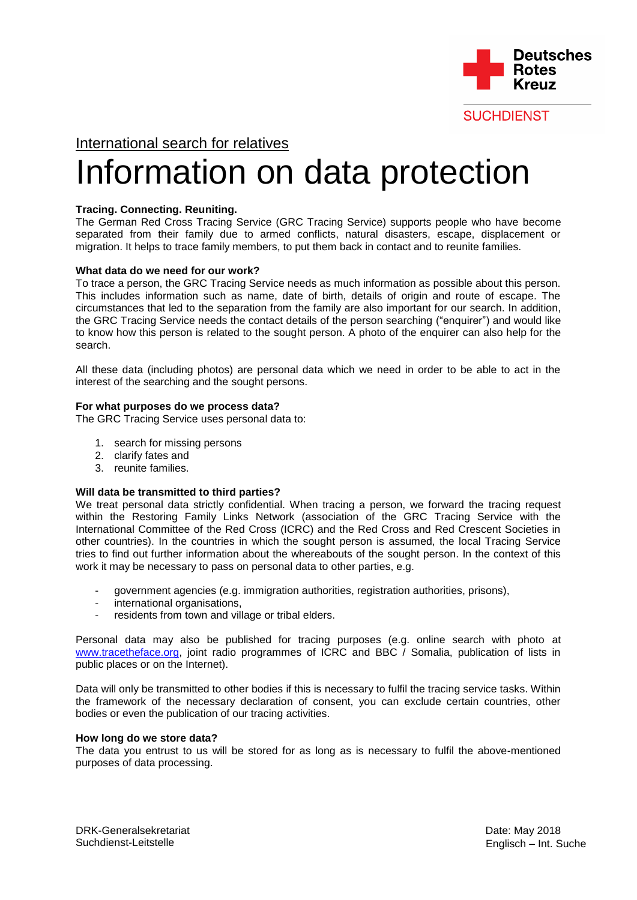

**SUCHDIENST** 

# International search for relatives

# Information on data protection

# **Tracing. Connecting. Reuniting.**

The German Red Cross Tracing Service (GRC Tracing Service) supports people who have become separated from their family due to armed conflicts, natural disasters, escape, displacement or migration. It helps to trace family members, to put them back in contact and to reunite families.

## **What data do we need for our work?**

To trace a person, the GRC Tracing Service needs as much information as possible about this person. This includes information such as name, date of birth, details of origin and route of escape. The circumstances that led to the separation from the family are also important for our search. In addition, the GRC Tracing Service needs the contact details of the person searching ("enquirer") and would like to know how this person is related to the sought person. A photo of the enquirer can also help for the search.

All these data (including photos) are personal data which we need in order to be able to act in the interest of the searching and the sought persons.

#### **For what purposes do we process data?**

The GRC Tracing Service uses personal data to:

- 1. search for missing persons
- 2. clarify fates and
- 3. reunite families.

#### **Will data be transmitted to third parties?**

We treat personal data strictly confidential. When tracing a person, we forward the tracing request within the Restoring Family Links Network (association of the GRC Tracing Service with the International Committee of the Red Cross (ICRC) and the Red Cross and Red Crescent Societies in other countries). In the countries in which the sought person is assumed, the local Tracing Service tries to find out further information about the whereabouts of the sought person. In the context of this work it may be necessary to pass on personal data to other parties, e.g.

- government agencies (e.g. immigration authorities, registration authorities, prisons),
- international organisations,
- residents from town and village or tribal elders.

Personal data may also be published for tracing purposes (e.g. online search with photo at [www.tracetheface.org,](http://www.tracetheface.org/) joint radio programmes of ICRC and BBC / Somalia, publication of lists in public places or on the Internet).

Data will only be transmitted to other bodies if this is necessary to fulfil the tracing service tasks. Within the framework of the necessary declaration of consent, you can exclude certain countries, other bodies or even the publication of our tracing activities.

#### **How long do we store data?**

The data you entrust to us will be stored for as long as is necessary to fulfil the above-mentioned purposes of data processing.